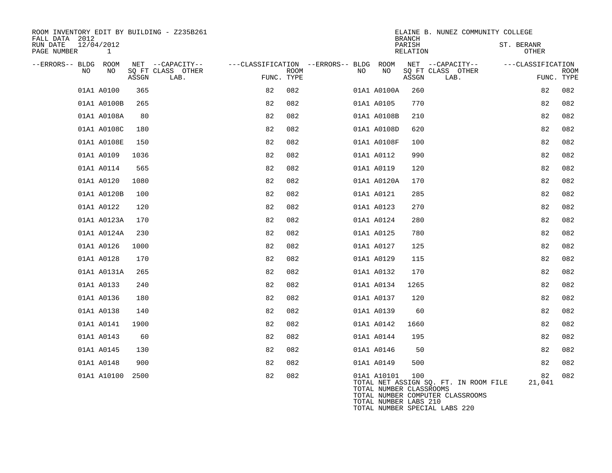| ROOM INVENTORY EDIT BY BUILDING - Z235B261<br>FALL DATA 2012 |       |                           |            |             |                                   |             | <b>BRANCH</b>                                           | ELAINE B. NUNEZ COMMUNITY COLLEGE                                                                          |                     |                           |
|--------------------------------------------------------------|-------|---------------------------|------------|-------------|-----------------------------------|-------------|---------------------------------------------------------|------------------------------------------------------------------------------------------------------------|---------------------|---------------------------|
| RUN DATE<br>12/04/2012<br>PAGE NUMBER<br>1                   |       |                           |            |             |                                   |             | PARISH<br>RELATION                                      |                                                                                                            | ST. BERANR<br>OTHER |                           |
| --ERRORS-- BLDG<br>ROOM                                      |       | NET --CAPACITY--          |            |             | ---CLASSIFICATION --ERRORS-- BLDG | ROOM        |                                                         | NET --CAPACITY--                                                                                           | ---CLASSIFICATION   |                           |
| NO<br>NO                                                     | ASSGN | SQ FT CLASS OTHER<br>LAB. | FUNC. TYPE | <b>ROOM</b> | NO                                | NO          | ASSGN                                                   | SQ FT CLASS OTHER<br>LAB.                                                                                  |                     | <b>ROOM</b><br>FUNC. TYPE |
| 01A1 A0100                                                   | 365   |                           | 82         | 082         |                                   | 01A1 A0100A | 260                                                     |                                                                                                            | 82                  | 082                       |
| 01A1 A0100B                                                  | 265   |                           | 82         | 082         |                                   | 01A1 A0105  | 770                                                     |                                                                                                            | 82                  | 082                       |
| 01A1 A0108A                                                  | 80    |                           | 82         | 082         |                                   | 01A1 A0108B | 210                                                     |                                                                                                            | 82                  | 082                       |
| 01A1 A0108C                                                  | 180   |                           | 82         | 082         |                                   | 01A1 A0108D | 620                                                     |                                                                                                            | 82                  | 082                       |
| 01A1 A0108E                                                  | 150   |                           | 82         | 082         |                                   | 01A1 A0108F | 100                                                     |                                                                                                            | 82                  | 082                       |
| 01A1 A0109                                                   | 1036  |                           | 82         | 082         |                                   | 01A1 A0112  | 990                                                     |                                                                                                            | 82                  | 082                       |
| 01A1 A0114                                                   | 565   |                           | 82         | 082         |                                   | 01A1 A0119  | 120                                                     |                                                                                                            | 82                  | 082                       |
| 01A1 A0120                                                   | 1080  |                           | 82         | 082         |                                   | 01A1 A0120A | 170                                                     |                                                                                                            | 82                  | 082                       |
| 01A1 A0120B                                                  | 100   |                           | 82         | 082         |                                   | 01A1 A0121  | 285                                                     |                                                                                                            | 82                  | 082                       |
| 01A1 A0122                                                   | 120   |                           | 82         | 082         |                                   | 01A1 A0123  | 270                                                     |                                                                                                            | 82                  | 082                       |
| 01A1 A0123A                                                  | 170   |                           | 82         | 082         |                                   | 01A1 A0124  | 280                                                     |                                                                                                            | 82                  | 082                       |
| 01A1 A0124A                                                  | 230   |                           | 82         | 082         |                                   | 01A1 A0125  | 780                                                     |                                                                                                            | 82                  | 082                       |
| 01A1 A0126                                                   | 1000  |                           | 82         | 082         |                                   | 01A1 A0127  | 125                                                     |                                                                                                            | 82                  | 082                       |
| 01A1 A0128                                                   | 170   |                           | 82         | 082         |                                   | 01A1 A0129  | 115                                                     |                                                                                                            | 82                  | 082                       |
| 01A1 A0131A                                                  | 265   |                           | 82         | 082         |                                   | 01A1 A0132  | 170                                                     |                                                                                                            | 82                  | 082                       |
| 01A1 A0133                                                   | 240   |                           | 82         | 082         |                                   | 01A1 A0134  | 1265                                                    |                                                                                                            | 82                  | 082                       |
| 01A1 A0136                                                   | 180   |                           | 82         | 082         |                                   | 01A1 A0137  | 120                                                     |                                                                                                            | 82                  | 082                       |
| 01A1 A0138                                                   | 140   |                           | 82         | 082         |                                   | 01A1 A0139  | 60                                                      |                                                                                                            | 82                  | 082                       |
| 01A1 A0141                                                   | 1900  |                           | 82         | 082         |                                   | 01A1 A0142  | 1660                                                    |                                                                                                            | 82                  | 082                       |
| 01A1 A0143                                                   | 60    |                           | 82         | 082         |                                   | 01A1 A0144  | 195                                                     |                                                                                                            | 82                  | 082                       |
| 01A1 A0145                                                   | 130   |                           | 82         | 082         |                                   | 01A1 A0146  | 50                                                      |                                                                                                            | 82                  | 082                       |
| 01A1 A0148                                                   | 900   |                           | 82         | 082         |                                   | 01A1 A0149  | 500                                                     |                                                                                                            | 82                  | 082                       |
| 01A1 A10100                                                  | 2500  |                           | 82         | 082         |                                   | 01A1 A10101 | 100<br>TOTAL NUMBER CLASSROOMS<br>TOTAL NUMBER LABS 210 | TOTAL NET ASSIGN SQ. FT. IN ROOM FILE<br>TOTAL NUMBER COMPUTER CLASSROOMS<br>TOTAL NUMBER SPECIAL LABS 220 | 82<br>21,041        | 082                       |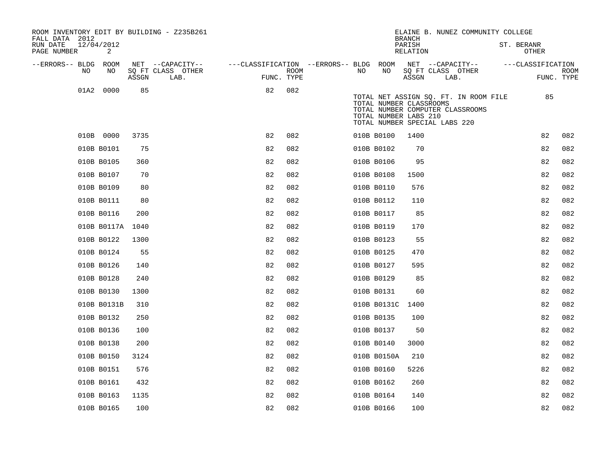| ROOM INVENTORY EDIT BY BUILDING - Z235B261<br>FALL DATA 2012 |       |                           |    |                           |                                        |     |                                                                                   | <b>BRANCH</b>      |      | ELAINE B. NUNEZ COMMUNITY COLLEGE                                         |                            |                           |
|--------------------------------------------------------------|-------|---------------------------|----|---------------------------|----------------------------------------|-----|-----------------------------------------------------------------------------------|--------------------|------|---------------------------------------------------------------------------|----------------------------|---------------------------|
| RUN DATE<br>12/04/2012<br>PAGE NUMBER<br>2                   |       |                           |    |                           |                                        |     |                                                                                   | PARISH<br>RELATION |      |                                                                           | ST. BERANR<br><b>OTHER</b> |                           |
| --ERRORS-- BLDG ROOM                                         |       | NET --CAPACITY--          |    |                           | ---CLASSIFICATION --ERRORS-- BLDG ROOM |     |                                                                                   |                    |      | NET --CAPACITY--                                                          | ---CLASSIFICATION          |                           |
| NO.<br>NO                                                    | ASSGN | SQ FT CLASS OTHER<br>LAB. |    | <b>ROOM</b><br>FUNC. TYPE |                                        | NO. | NO                                                                                | ASSGN              | LAB. | SQ FT CLASS OTHER                                                         |                            | <b>ROOM</b><br>FUNC. TYPE |
| 0000<br>01A2                                                 | 85    |                           | 82 | 082                       |                                        |     | TOTAL NUMBER CLASSROOMS<br>TOTAL NUMBER LABS 210<br>TOTAL NUMBER SPECIAL LABS 220 |                    |      | TOTAL NET ASSIGN SQ. FT. IN ROOM FILE<br>TOTAL NUMBER COMPUTER CLASSROOMS |                            | 85                        |
| 010B 0000                                                    | 3735  |                           | 82 | 082                       |                                        |     | 010B B0100                                                                        | 1400               |      |                                                                           | 82                         | 082                       |
| 010B B0101                                                   | 75    |                           | 82 | 082                       |                                        |     | 010B B0102                                                                        | 70                 |      |                                                                           | 82                         | 082                       |
| 010B B0105                                                   | 360   |                           | 82 | 082                       |                                        |     | 010B B0106                                                                        | 95                 |      |                                                                           | 82                         | 082                       |
| 010B B0107                                                   | 70    |                           | 82 | 082                       |                                        |     | 010B B0108                                                                        | 1500               |      |                                                                           | 82                         | 082                       |
| 010B B0109                                                   | 80    |                           | 82 | 082                       |                                        |     | 010B B0110                                                                        | 576                |      |                                                                           | 82                         | 082                       |
| 010B B0111                                                   | 80    |                           | 82 | 082                       |                                        |     | 010B B0112                                                                        | 110                |      |                                                                           | 82                         | 082                       |
| 010B B0116                                                   | 200   |                           | 82 | 082                       |                                        |     | 010B B0117                                                                        | 85                 |      |                                                                           | 82                         | 082                       |
| 010B B0117A                                                  | 1040  |                           | 82 | 082                       |                                        |     | 010B B0119                                                                        | 170                |      |                                                                           | 82                         | 082                       |
| 010B B0122                                                   | 1300  |                           | 82 | 082                       |                                        |     | 010B B0123                                                                        | 55                 |      |                                                                           | 82                         | 082                       |
| 010B B0124                                                   | 55    |                           | 82 | 082                       |                                        |     | 010B B0125                                                                        | 470                |      |                                                                           | 82                         | 082                       |
| 010B B0126                                                   | 140   |                           | 82 | 082                       |                                        |     | 010B B0127                                                                        | 595                |      |                                                                           | 82                         | 082                       |
| 010B B0128                                                   | 240   |                           | 82 | 082                       |                                        |     | 010B B0129                                                                        | 85                 |      |                                                                           | 82                         | 082                       |
| 010B B0130                                                   | 1300  |                           | 82 | 082                       |                                        |     | 010B B0131                                                                        | 60                 |      |                                                                           | 82                         | 082                       |
| 010B B0131B                                                  | 310   |                           | 82 | 082                       |                                        |     | 010B B0131C                                                                       | 1400               |      |                                                                           | 82                         | 082                       |
| 010B B0132                                                   | 250   |                           | 82 | 082                       |                                        |     | 010B B0135                                                                        | 100                |      |                                                                           | 82                         | 082                       |
| 010B B0136                                                   | 100   |                           | 82 | 082                       |                                        |     | 010B B0137                                                                        | 50                 |      |                                                                           | 82                         | 082                       |
| 010B B0138                                                   | 200   |                           | 82 | 082                       |                                        |     | 010B B0140                                                                        | 3000               |      |                                                                           | 82                         | 082                       |
| 010B B0150                                                   | 3124  |                           | 82 | 082                       |                                        |     | 010B B0150A                                                                       | 210                |      |                                                                           | 82                         | 082                       |
| 010B B0151                                                   | 576   |                           | 82 | 082                       |                                        |     | 010B B0160                                                                        | 5226               |      |                                                                           | 82                         | 082                       |
| 010B B0161                                                   | 432   |                           | 82 | 082                       |                                        |     | 010B B0162                                                                        | 260                |      |                                                                           | 82                         | 082                       |
| 010B B0163                                                   | 1135  |                           | 82 | 082                       |                                        |     | 010B B0164                                                                        | 140                |      |                                                                           | 82                         | 082                       |
| 010B B0165                                                   | 100   |                           | 82 | 082                       |                                        |     | 010B B0166                                                                        | 100                |      |                                                                           | 82                         | 082                       |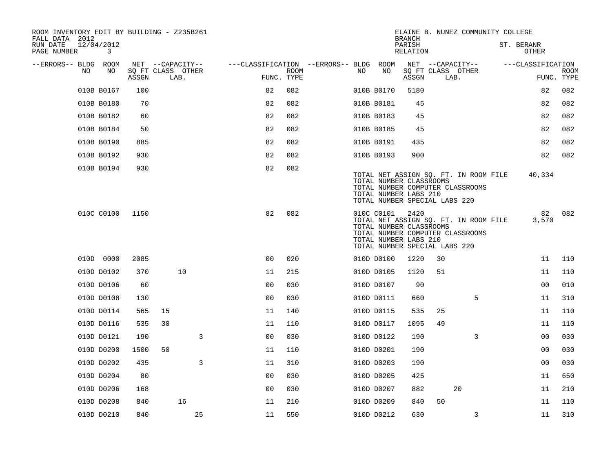| ROOM INVENTORY EDIT BY BUILDING - Z235B261<br>FALL DATA 2012 |       |                           |                                        |                    |     |            |                                                                                           |                           | ELAINE B. NUNEZ COMMUNITY COLLEGE                                         |                     |                           |
|--------------------------------------------------------------|-------|---------------------------|----------------------------------------|--------------------|-----|------------|-------------------------------------------------------------------------------------------|---------------------------|---------------------------------------------------------------------------|---------------------|---------------------------|
| 12/04/2012<br>RUN DATE<br>PAGE NUMBER<br>3                   |       |                           |                                        |                    |     |            | <b>BRANCH</b><br>PARISH<br>RELATION                                                       |                           |                                                                           | ST. BERANR<br>OTHER |                           |
| --ERRORS-- BLDG ROOM                                         |       | NET --CAPACITY--          | ---CLASSIFICATION --ERRORS-- BLDG ROOM |                    |     |            |                                                                                           | NET --CAPACITY--          |                                                                           | ---CLASSIFICATION   |                           |
| NO<br>NO                                                     | ASSGN | SQ FT CLASS OTHER<br>LAB. |                                        | ROOM<br>FUNC. TYPE | NO. | NO         | ASSGN                                                                                     | SQ FT CLASS OTHER<br>LAB. |                                                                           |                     | <b>ROOM</b><br>FUNC. TYPE |
| 010B B0167                                                   | 100   |                           | 82                                     | 082                |     | 010B B0170 | 5180                                                                                      |                           |                                                                           | 82                  | 082                       |
| 010B B0180                                                   | 70    |                           | 82                                     | 082                |     | 010B B0181 | 45                                                                                        |                           |                                                                           | 82                  | 082                       |
| 010B B0182                                                   | 60    |                           | 82                                     | 082                |     | 010B B0183 | 45                                                                                        |                           |                                                                           | 82                  | 082                       |
| 010B B0184                                                   | 50    |                           | 82                                     | 082                |     | 010B B0185 | 45                                                                                        |                           |                                                                           | 82                  | 082                       |
| 010B B0190                                                   | 885   |                           | 82                                     | 082                |     | 010B B0191 | 435                                                                                       |                           |                                                                           | 82                  | 082                       |
| 010B B0192                                                   | 930   |                           | 82                                     | 082                |     | 010B B0193 | 900                                                                                       |                           |                                                                           | 82                  | 082                       |
| 010B B0194                                                   | 930   |                           | 82                                     | 082                |     |            | TOTAL NUMBER CLASSROOMS<br>TOTAL NUMBER LABS 210<br>TOTAL NUMBER SPECIAL LABS 220         |                           | TOTAL NET ASSIGN SQ. FT. IN ROOM FILE<br>TOTAL NUMBER COMPUTER CLASSROOMS | 40,334              |                           |
| 010C C0100                                                   | 1150  |                           | 82                                     | 082                |     | 010C C0101 | 2420<br>TOTAL NUMBER CLASSROOMS<br>TOTAL NUMBER LABS 210<br>TOTAL NUMBER SPECIAL LABS 220 |                           | TOTAL NET ASSIGN SQ. FT. IN ROOM FILE<br>TOTAL NUMBER COMPUTER CLASSROOMS | 82<br>3,570         | 082                       |
| 010D 0000                                                    | 2085  |                           | 0 <sub>0</sub>                         | 020                |     | 010D D0100 | 1220                                                                                      | 30                        |                                                                           | 11                  | 110                       |
| 010D D0102                                                   | 370   | 10                        | 11                                     | 215                |     | 010D D0105 | 1120                                                                                      | 51                        |                                                                           | 11                  | 110                       |
| 010D D0106                                                   | 60    |                           | 0 <sub>0</sub>                         | 030                |     | 010D D0107 | 90                                                                                        |                           |                                                                           | 0 <sub>0</sub>      | 010                       |
| 010D D0108                                                   | 130   |                           | 0 <sub>0</sub>                         | 030                |     | 010D D0111 | 660                                                                                       |                           | 5                                                                         | 11                  | 310                       |
| 010D D0114                                                   | 565   | 15                        | 11                                     | 140                |     | 010D D0115 | 535                                                                                       | 25                        |                                                                           | 11                  | 110                       |
| 010D D0116                                                   | 535   | 30                        | 11                                     | 110                |     | 010D D0117 | 1095                                                                                      | 49                        |                                                                           | 11                  | 110                       |
| 010D D0121                                                   | 190   | 3                         | 0 <sub>0</sub>                         | 030                |     | 010D D0122 | 190                                                                                       |                           | 3                                                                         | 0 <sub>0</sub>      | 030                       |
| 010D D0200                                                   | 1500  | 50                        | 11                                     | 110                |     | 010D D0201 | 190                                                                                       |                           |                                                                           | 00                  | 030                       |
| 010D D0202                                                   | 435   | 3                         | 11                                     | 310                |     | 010D D0203 | 190                                                                                       |                           |                                                                           | 0 <sub>0</sub>      | 030                       |
| 010D D0204                                                   | 80    |                           | 0 <sub>0</sub>                         | 030                |     | 010D D0205 | 425                                                                                       |                           |                                                                           | 11                  | 650                       |
| 010D D0206                                                   | 168   |                           | 0 <sub>0</sub>                         | 030                |     | 010D D0207 | 882                                                                                       |                           | 20                                                                        | 11                  | 210                       |
| 010D D0208                                                   | 840   | 16                        | 11                                     | 210                |     | 010D D0209 | 840                                                                                       | 50                        |                                                                           | 11                  | 110                       |
| 010D D0210                                                   | 840   | 25                        | 11                                     | 550                |     | 010D D0212 | 630                                                                                       |                           | 3                                                                         | 11                  | 310                       |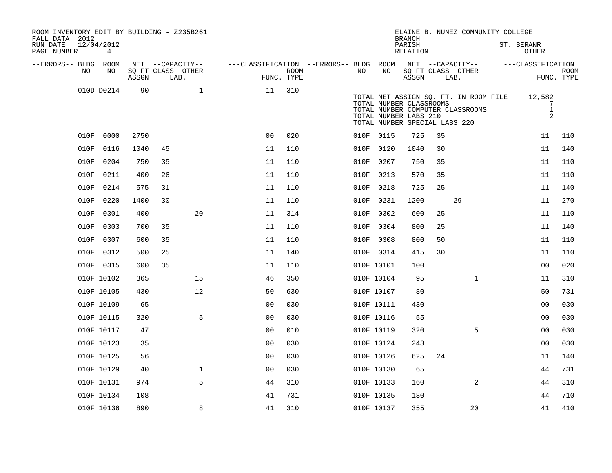| ROOM INVENTORY EDIT BY BUILDING - Z235B261<br>FALL DATA 2012 |                              |       |    |                           |                                   |                           |      |                                                                                   | <b>BRANCH</b>      |    | ELAINE B. NUNEZ COMMUNITY COLLEGE                                         |                                  |                           |
|--------------------------------------------------------------|------------------------------|-------|----|---------------------------|-----------------------------------|---------------------------|------|-----------------------------------------------------------------------------------|--------------------|----|---------------------------------------------------------------------------|----------------------------------|---------------------------|
| RUN DATE<br>PAGE NUMBER                                      | 12/04/2012<br>$\overline{4}$ |       |    |                           |                                   |                           |      |                                                                                   | PARISH<br>RELATION |    |                                                                           | ST. BERANR<br><b>OTHER</b>       |                           |
| --ERRORS-- BLDG ROOM                                         |                              |       |    | NET --CAPACITY--          | ---CLASSIFICATION --ERRORS-- BLDG |                           |      | ROOM                                                                              |                    |    | NET --CAPACITY--                                                          | ---CLASSIFICATION                |                           |
| NO.                                                          | NO                           | ASSGN |    | SQ FT CLASS OTHER<br>LAB. |                                   | <b>ROOM</b><br>FUNC. TYPE | NO.  | NO                                                                                | ASSGN              |    | SQ FT CLASS OTHER<br>LAB.                                                 |                                  | <b>ROOM</b><br>FUNC. TYPE |
|                                                              | 010D D0214                   | 90    |    | $\mathbf 1$               | 11                                | 310                       |      | TOTAL NUMBER CLASSROOMS<br>TOTAL NUMBER LABS 210<br>TOTAL NUMBER SPECIAL LABS 220 |                    |    | TOTAL NET ASSIGN SQ. FT. IN ROOM FILE<br>TOTAL NUMBER COMPUTER CLASSROOMS | 12,582<br>7<br>$\mathbf{1}$<br>2 |                           |
| 010F                                                         | 0000                         | 2750  |    |                           | 0 <sup>0</sup>                    | 020                       |      | 010F 0115                                                                         | 725                | 35 |                                                                           | 11                               | 110                       |
| 010F                                                         | 0116                         | 1040  | 45 |                           | 11                                | 110                       |      | 010F 0120                                                                         | 1040               | 30 |                                                                           | 11                               | 140                       |
| 010F                                                         | 0204                         | 750   | 35 |                           | 11                                | 110                       | 010F | 0207                                                                              | 750                | 35 |                                                                           | 11                               | 110                       |
| 010F                                                         | 0211                         | 400   | 26 |                           | 11                                | 110                       |      | 010F 0213                                                                         | 570                | 35 |                                                                           | 11                               | 110                       |
| 010F                                                         | 0214                         | 575   | 31 |                           | 11                                | 110                       | 010F | 0218                                                                              | 725                | 25 |                                                                           | 11                               | 140                       |
| 010F                                                         | 0220                         | 1400  | 30 |                           | 11                                | 110                       | 010F | 0231                                                                              | 1200               |    | 29                                                                        | 11                               | 270                       |
| 010F                                                         | 0301                         | 400   |    | 20                        | 11                                | 314                       | 010F | 0302                                                                              | 600                | 25 |                                                                           | 11                               | 110                       |
| 010F                                                         | 0303                         | 700   | 35 |                           | 11                                | 110                       | 010F | 0304                                                                              | 800                | 25 |                                                                           | 11                               | 140                       |
| 010F                                                         | 0307                         | 600   | 35 |                           | 11                                | 110                       | 010F | 0308                                                                              | 800                | 50 |                                                                           | 11                               | 110                       |
| 010F                                                         | 0312                         | 500   | 25 |                           | 11                                | 140                       |      | 010F 0314                                                                         | 415                | 30 |                                                                           | 11                               | 110                       |
|                                                              | 010F 0315                    | 600   | 35 |                           | 11                                | 110                       |      | 010F 10101                                                                        | 100                |    |                                                                           | 00                               | 020                       |
|                                                              | 010F 10102                   | 365   |    | 15                        | 46                                | 350                       |      | 010F 10104                                                                        | 95                 |    | $\mathbf{1}$                                                              | 11                               | 310                       |
|                                                              | 010F 10105                   | 430   |    | 12                        | 50                                | 630                       |      | 010F 10107                                                                        | 80                 |    |                                                                           | 50                               | 731                       |
|                                                              | 010F 10109                   | 65    |    |                           | 0 <sub>0</sub>                    | 030                       |      | 010F 10111                                                                        | 430                |    |                                                                           | 0 <sub>0</sub>                   | 030                       |
|                                                              | 010F 10115                   | 320   |    | 5                         | 0 <sub>0</sub>                    | 030                       |      | 010F 10116                                                                        | 55                 |    |                                                                           | 0 <sub>0</sub>                   | 030                       |
|                                                              | 010F 10117                   | 47    |    |                           | 0 <sub>0</sub>                    | 010                       |      | 010F 10119                                                                        | 320                |    | 5                                                                         | 0 <sub>0</sub>                   | 030                       |
|                                                              | 010F 10123                   | 35    |    |                           | 0 <sub>0</sub>                    | 030                       |      | 010F 10124                                                                        | 243                |    |                                                                           | 0 <sub>0</sub>                   | 030                       |
|                                                              | 010F 10125                   | 56    |    |                           | 0 <sub>0</sub>                    | 030                       |      | 010F 10126                                                                        | 625                | 24 |                                                                           | 11                               | 140                       |
|                                                              | 010F 10129                   | 40    |    | $\mathbf 1$               | 0 <sub>0</sub>                    | 030                       |      | 010F 10130                                                                        | 65                 |    |                                                                           | 44                               | 731                       |
|                                                              | 010F 10131                   | 974   |    | 5                         | 44                                | 310                       |      | 010F 10133                                                                        | 160                |    | $\overline{2}$                                                            | 44                               | 310                       |
|                                                              | 010F 10134                   | 108   |    |                           | 41                                | 731                       |      | 010F 10135                                                                        | 180                |    |                                                                           | 44                               | 710                       |
|                                                              | 010F 10136                   | 890   |    | 8                         | 41                                | 310                       |      | 010F 10137                                                                        | 355                |    | 20                                                                        | 41                               | 410                       |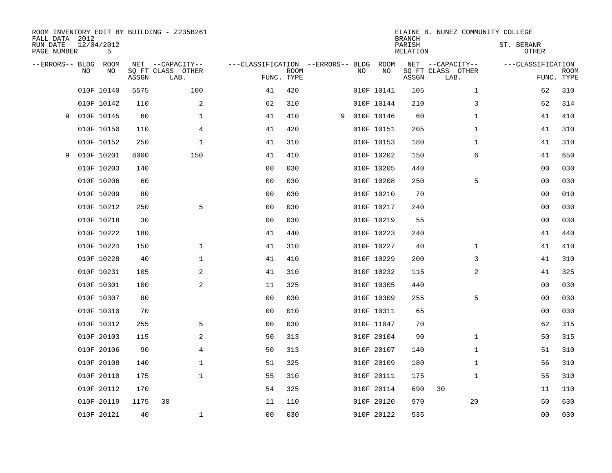| FALL DATA 2012          |    |                 |       | ROOM INVENTORY EDIT BY BUILDING - Z235B261 |                                   |             |   |    |            | <b>BRANCH</b>             | ELAINE B. NUNEZ COMMUNITY COLLEGE |                            |                           |
|-------------------------|----|-----------------|-------|--------------------------------------------|-----------------------------------|-------------|---|----|------------|---------------------------|-----------------------------------|----------------------------|---------------------------|
| RUN DATE<br>PAGE NUMBER |    | 12/04/2012<br>5 |       |                                            |                                   |             |   |    |            | PARISH<br><b>RELATION</b> |                                   | ST. BERANR<br><b>OTHER</b> |                           |
| --ERRORS-- BLDG         |    | ROOM            |       | NET --CAPACITY--                           | ---CLASSIFICATION --ERRORS-- BLDG |             |   |    | ROOM       |                           | NET --CAPACITY--                  | ---CLASSIFICATION          |                           |
|                         | NO | NO              | ASSGN | SQ FT CLASS OTHER<br>LAB.                  | FUNC. TYPE                        | <b>ROOM</b> |   | NO | NO         | ASSGN                     | SQ FT CLASS OTHER<br>LAB.         |                            | <b>ROOM</b><br>FUNC. TYPE |
|                         |    | 010F 10140      | 5575  | 100                                        | 41                                | 420         |   |    | 010F 10141 | 105                       | $\mathbf{1}$                      | 62                         | 310                       |
|                         |    | 010F 10142      | 110   | 2                                          | 62                                | 310         |   |    | 010F 10144 | 210                       | 3                                 | 62                         | 314                       |
| 9                       |    | 010F 10145      | 60    | $\mathbf 1$                                | 41                                | 410         | 9 |    | 010F 10146 | 60                        | $\mathbf{1}$                      | 41                         | 410                       |
|                         |    | 010F 10150      | 110   | 4                                          | 41                                | 420         |   |    | 010F 10151 | 205                       | $\mathbf{1}$                      | 41                         | 310                       |
|                         |    | 010F 10152      | 250   | $\mathbf 1$                                | 41                                | 310         |   |    | 010F 10153 | 180                       | $\mathbf{1}$                      | 41                         | 310                       |
| 9                       |    | 010F 10201      | 8000  | 150                                        | 41                                | 410         |   |    | 010F 10202 | 150                       | 6                                 | 41                         | 650                       |
|                         |    | 010F 10203      | 140   |                                            | 0 <sub>0</sub>                    | 030         |   |    | 010F 10205 | 440                       |                                   | 0 <sub>0</sub>             | 030                       |
|                         |    | 010F 10206      | 60    |                                            | 0 <sub>0</sub>                    | 030         |   |    | 010F 10208 | 250                       | 5                                 | 0 <sub>0</sub>             | 030                       |
|                         |    | 010F 10209      | 80    |                                            | 0 <sub>0</sub>                    | 030         |   |    | 010F 10210 | 70                        |                                   | 0 <sub>0</sub>             | 010                       |
|                         |    | 010F 10212      | 250   | 5                                          | 0 <sub>0</sub>                    | 030         |   |    | 010F 10217 | 240                       |                                   | 0 <sub>0</sub>             | 030                       |
|                         |    | 010F 10218      | 30    |                                            | 0 <sub>0</sub>                    | 030         |   |    | 010F 10219 | 55                        |                                   | 0 <sub>0</sub>             | 030                       |
|                         |    | 010F 10222      | 180   |                                            | 41                                | 440         |   |    | 010F 10223 | 240                       |                                   | 41                         | 440                       |
|                         |    | 010F 10224      | 150   | $\mathbf 1$                                | 41                                | 310         |   |    | 010F 10227 | 40                        | $\mathbf{1}$                      | 41                         | 410                       |
|                         |    | 010F 10228      | 40    | $\mathbf 1$                                | 41                                | 410         |   |    | 010F 10229 | 200                       | 3                                 | 41                         | 310                       |
|                         |    | 010F 10231      | 105   | 2                                          | 41                                | 310         |   |    | 010F 10232 | 115                       | 2                                 | 41                         | 325                       |
|                         |    | 010F 10301      | 100   | 2                                          | 11                                | 325         |   |    | 010F 10305 | 440                       |                                   | 00                         | 030                       |
|                         |    | 010F 10307      | 80    |                                            | 0 <sub>0</sub>                    | 030         |   |    | 010F 10309 | 255                       | 5                                 | 0 <sub>0</sub>             | 030                       |
|                         |    | 010F 10310      | 70    |                                            | 0 <sub>0</sub>                    | 010         |   |    | 010F 10311 | 65                        |                                   | 00                         | 030                       |
|                         |    | 010F 10312      | 255   | 5                                          | 0 <sub>0</sub>                    | 030         |   |    | 010F 11047 | 70                        |                                   | 62                         | 315                       |
|                         |    | 010F 20103      | 115   | 2                                          | 50                                | 313         |   |    | 010F 20104 | 90                        | $\mathbf{1}$                      | 50                         | 315                       |
|                         |    | 010F 20106      | 90    | 4                                          | 50                                | 313         |   |    | 010F 20107 | 140                       | $\mathbf{1}$                      | 51                         | 310                       |
|                         |    | 010F 20108      | 140   | 1                                          | 51                                | 325         |   |    | 010F 20109 | 180                       | $\mathbf{1}$                      | 56                         | 310                       |
|                         |    | 010F 20110      | 175   | $\mathbf{1}$                               | 55                                | 310         |   |    | 010F 20111 | 175                       | $\mathbf{1}$                      | 55                         | 310                       |
|                         |    | 010F 20112      | 170   |                                            | 54                                | 325         |   |    | 010F 20114 | 690                       | 30                                | 11                         | 110                       |
|                         |    | 010F 20119      | 1175  | 30                                         | 11                                | 110         |   |    | 010F 20120 | 970                       | 20                                | 50                         | 630                       |
|                         |    | 010F 20121      | 40    | $\mathbf 1$                                | 00                                | 030         |   |    | 010F 20122 | 535                       |                                   | 0 <sub>0</sub>             | 030                       |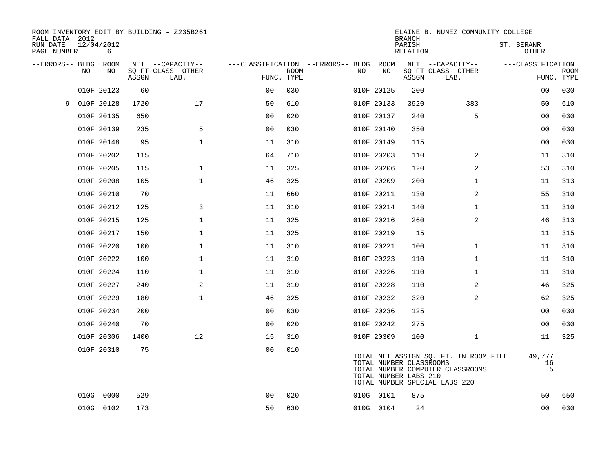| FALL DATA 2012          |     |                 |       | ROOM INVENTORY EDIT BY BUILDING - Z235B261 |                |             |                                   |     |                                                  | <b>BRANCH</b>      | ELAINE B. NUNEZ COMMUNITY COLLEGE                                                                          |                            |             |
|-------------------------|-----|-----------------|-------|--------------------------------------------|----------------|-------------|-----------------------------------|-----|--------------------------------------------------|--------------------|------------------------------------------------------------------------------------------------------------|----------------------------|-------------|
| RUN DATE<br>PAGE NUMBER |     | 12/04/2012<br>6 |       |                                            |                |             |                                   |     |                                                  | PARISH<br>RELATION |                                                                                                            | ST. BERANR<br><b>OTHER</b> |             |
| --ERRORS-- BLDG ROOM    |     |                 |       | NET --CAPACITY--                           |                |             | ---CLASSIFICATION --ERRORS-- BLDG |     | ROOM                                             |                    | NET --CAPACITY--                                                                                           | ---CLASSIFICATION          |             |
|                         | NO. | NO              | ASSGN | SQ FT CLASS OTHER<br>LAB.                  | FUNC. TYPE     | <b>ROOM</b> |                                   | NO. | NO                                               | ASSGN              | SQ FT CLASS OTHER<br>LAB.                                                                                  | FUNC. TYPE                 | <b>ROOM</b> |
|                         |     | 010F 20123      | 60    |                                            | 0 <sub>0</sub> | 030         |                                   |     | 010F 20125                                       | 200                |                                                                                                            | 00                         | 030         |
| 9                       |     | 010F 20128      | 1720  | 17                                         | 50             | 610         |                                   |     | 010F 20133                                       | 3920               | 383                                                                                                        | 50                         | 610         |
|                         |     | 010F 20135      | 650   |                                            | 0 <sub>0</sub> | 020         |                                   |     | 010F 20137                                       | 240                | 5                                                                                                          | 0 <sub>0</sub>             | 030         |
|                         |     | 010F 20139      | 235   | 5                                          | 0 <sub>0</sub> | 030         |                                   |     | 010F 20140                                       | 350                |                                                                                                            | 0 <sub>0</sub>             | 030         |
|                         |     | 010F 20148      | 95    | $\mathbf 1$                                | 11             | 310         |                                   |     | 010F 20149                                       | 115                |                                                                                                            | 00                         | 030         |
|                         |     | 010F 20202      | 115   |                                            | 64             | 710         |                                   |     | 010F 20203                                       | 110                | $\overline{2}$                                                                                             | 11                         | 310         |
|                         |     | 010F 20205      | 115   | $\mathbf 1$                                | 11             | 325         |                                   |     | 010F 20206                                       | 120                | 2                                                                                                          | 53                         | 310         |
|                         |     | 010F 20208      | 105   | $\mathbf 1$                                | 46             | 325         |                                   |     | 010F 20209                                       | 200                | $\mathbf{1}$                                                                                               | 11                         | 313         |
|                         |     | 010F 20210      | 70    |                                            | 11             | 660         |                                   |     | 010F 20211                                       | 130                | 2                                                                                                          | 55                         | 310         |
|                         |     | 010F 20212      | 125   | 3                                          | 11             | 310         |                                   |     | 010F 20214                                       | 140                | $\mathbf{1}$                                                                                               | 11                         | 310         |
|                         |     | 010F 20215      | 125   | 1                                          | 11             | 325         |                                   |     | 010F 20216                                       | 260                | $\overline{a}$                                                                                             | 46                         | 313         |
|                         |     | 010F 20217      | 150   | $\mathbf{1}$                               | 11             | 325         |                                   |     | 010F 20219                                       | 15                 |                                                                                                            | 11                         | 315         |
|                         |     | 010F 20220      | 100   | $\mathbf 1$                                | 11             | 310         |                                   |     | 010F 20221                                       | 100                | $\mathbf{1}$                                                                                               | 11                         | 310         |
|                         |     | 010F 20222      | 100   | $\mathbf 1$                                | 11             | 310         |                                   |     | 010F 20223                                       | 110                | $\mathbf{1}$                                                                                               | 11                         | 310         |
|                         |     | 010F 20224      | 110   | $\mathbf 1$                                | 11             | 310         |                                   |     | 010F 20226                                       | 110                | $\mathbf{1}$                                                                                               | 11                         | 310         |
|                         |     | 010F 20227      | 240   | 2                                          | 11             | 310         |                                   |     | 010F 20228                                       | 110                | 2                                                                                                          | 46                         | 325         |
|                         |     | 010F 20229      | 180   | $\mathbf 1$                                | 46             | 325         |                                   |     | 010F 20232                                       | 320                | 2                                                                                                          | 62                         | 325         |
|                         |     | 010F 20234      | 200   |                                            | 00             | 030         |                                   |     | 010F 20236                                       | 125                |                                                                                                            | 0 <sub>0</sub>             | 030         |
|                         |     | 010F 20240      | 70    |                                            | 0 <sub>0</sub> | 020         |                                   |     | 010F 20242                                       | 275                |                                                                                                            | 00                         | 030         |
|                         |     | 010F 20306      | 1400  | 12                                         | 15             | 310         |                                   |     | 010F 20309                                       | 100                | $\mathbf{1}$                                                                                               | 11                         | 325         |
|                         |     | 010F 20310      | 75    |                                            | 0 <sub>0</sub> | 010         |                                   |     | TOTAL NUMBER CLASSROOMS<br>TOTAL NUMBER LABS 210 |                    | TOTAL NET ASSIGN SQ. FT. IN ROOM FILE<br>TOTAL NUMBER COMPUTER CLASSROOMS<br>TOTAL NUMBER SPECIAL LABS 220 | 49,777<br>16<br>5          |             |
|                         |     | 010G 0000       | 529   |                                            | 0 <sub>0</sub> | 020         |                                   |     | 010G 0101                                        | 875                |                                                                                                            | 50                         | 650         |
|                         |     | 010G 0102       | 173   |                                            | 50             | 630         |                                   |     | 010G 0104                                        | 24                 |                                                                                                            | 0 <sub>0</sub>             | 030         |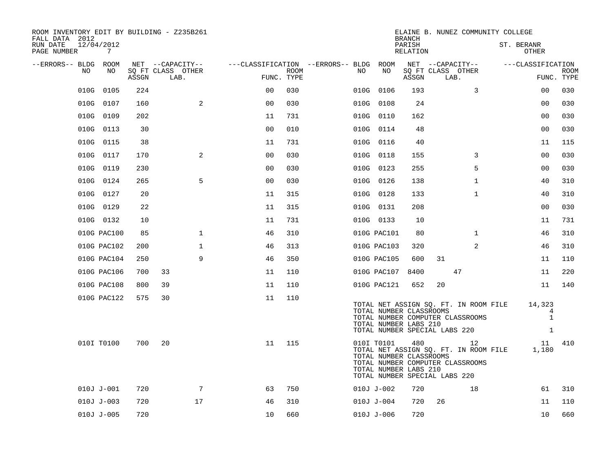| ROOM INVENTORY EDIT BY BUILDING - Z235B261<br>FALL DATA 2012 |                           |                                        | <b>BRANCH</b>                                                                                                                              | ELAINE B. NUNEZ COMMUNITY COLLEGE           |                           |
|--------------------------------------------------------------|---------------------------|----------------------------------------|--------------------------------------------------------------------------------------------------------------------------------------------|---------------------------------------------|---------------------------|
| 12/04/2012<br>RUN DATE<br>PAGE NUMBER<br>7                   |                           |                                        | PARISH<br>RELATION                                                                                                                         |                                             | ST. BERANR<br>OTHER       |
| --ERRORS-- BLDG ROOM                                         | NET --CAPACITY--          | ---CLASSIFICATION --ERRORS-- BLDG ROOM |                                                                                                                                            | NET --CAPACITY--                            | ---CLASSIFICATION         |
| NO<br>NO<br>ASSGN                                            | SQ FT CLASS OTHER<br>LAB. | ROOM<br>FUNC. TYPE                     | NO.<br>NO<br>ASSGN                                                                                                                         | SQ FT CLASS OTHER<br>LAB.                   | <b>ROOM</b><br>FUNC. TYPE |
| 010G<br>0105<br>224                                          | 0 <sub>0</sub>            | 030                                    | 010G 0106<br>193                                                                                                                           | 3                                           | 0 <sub>0</sub><br>030     |
| 010G 0107<br>160                                             | 2<br>0 <sub>0</sub>       | 030                                    | 010G 0108<br>24                                                                                                                            |                                             | 0 <sub>0</sub><br>030     |
| 010G 0109<br>202                                             | 11                        | 731                                    | 010G 0110<br>162                                                                                                                           |                                             | 030<br>0 <sub>0</sub>     |
| 010G 0113<br>30                                              | 0 <sub>0</sub>            | 010                                    | 010G 0114<br>48                                                                                                                            |                                             | 0 <sub>0</sub><br>030     |
| 010G 0115<br>38                                              | 11                        | 731                                    | 010G 0116<br>40                                                                                                                            |                                             | 115<br>11                 |
| 010G 0117<br>170                                             | 2<br>0 <sub>0</sub>       | 030                                    | 010G 0118<br>155                                                                                                                           | 3                                           | 00<br>030                 |
| 010G 0119<br>230                                             | 0 <sub>0</sub>            | 030                                    | 255<br>010G 0123                                                                                                                           | 5                                           | 030<br>0 <sub>0</sub>     |
| 010G 0124<br>265                                             | 5<br>0 <sub>0</sub>       | 030                                    | 010G 0126<br>138                                                                                                                           | $\mathbf{1}$                                | 310<br>40                 |
| 010G 0127<br>20                                              | 11                        | 315                                    | 010G 0128<br>133                                                                                                                           | $\mathbf{1}$                                | 40<br>310                 |
| 010G 0129<br>22                                              | 11                        | 315                                    | 010G 0131<br>208                                                                                                                           |                                             | 030<br>00                 |
| 010G 0132<br>10                                              | 11                        | 731                                    | 010G 0133<br>10                                                                                                                            |                                             | 731<br>11                 |
| 85<br>010G PAC100                                            | $\mathbf{1}$<br>46        | 310                                    | 010G PAC101<br>80                                                                                                                          | $\mathbf{1}$                                | 46<br>310                 |
| 010G PAC102<br>200                                           | $\mathbf 1$<br>46         | 313                                    | 010G PAC103<br>320                                                                                                                         | 2                                           | 46<br>310                 |
| 010G PAC104<br>250                                           | 9<br>46                   | 350                                    | 600<br>010G PAC105                                                                                                                         | 31                                          | 110<br>11                 |
| 010G PAC106<br>700                                           | 33<br>11                  | 110                                    | 010G PAC107<br>8400                                                                                                                        | 47                                          | 220<br>11                 |
| 010G PAC108<br>800                                           | 39<br>11                  | 110                                    | 652<br>010G PAC121                                                                                                                         | 20                                          | 140<br>11                 |
| 010G PAC122<br>575                                           | 30<br>11                  | 110                                    |                                                                                                                                            |                                             |                           |
|                                                              |                           |                                        | TOTAL NUMBER CLASSROOMS                                                                                                                    | TOTAL NET ASSIGN SQ. FT. IN ROOM FILE       | 14,323<br>4               |
|                                                              |                           |                                        | TOTAL NUMBER COMPUTER CLASSROOMS<br>TOTAL NUMBER LABS 210                                                                                  |                                             | $\mathbf{1}$              |
|                                                              |                           |                                        | TOTAL NUMBER SPECIAL LABS 220                                                                                                              |                                             | $\mathbf{1}$              |
| 010I T0100<br>700                                            | 20<br>11                  | 115                                    | 010I T0101<br>480<br>TOTAL NUMBER CLASSROOMS<br>TOTAL NUMBER COMPUTER CLASSROOMS<br>TOTAL NUMBER LABS 210<br>TOTAL NUMBER SPECIAL LABS 220 | 12<br>TOTAL NET ASSIGN SQ. FT. IN ROOM FILE | 410<br>11<br>1,180        |
| 720<br>$010J J - 001$                                        | $7\phantom{.0}$<br>63     | 750                                    | $010J J - 002$<br>720                                                                                                                      | 18                                          | 61<br>310                 |
| $010J J - 003$<br>720                                        | 17<br>46                  | 310                                    | $010J J - 004$<br>720                                                                                                                      | 26                                          | 11<br>110                 |
| 720<br>$010J J - 005$                                        | 10                        | 660                                    | 720<br>$010J J - 006$                                                                                                                      |                                             | 10<br>660                 |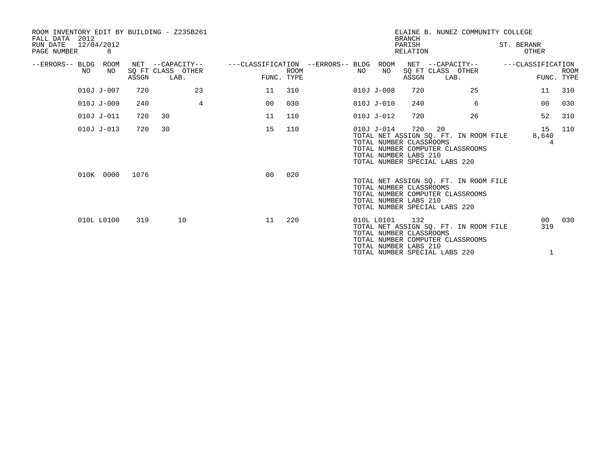| ROOM INVENTORY EDIT BY BUILDING - Z235B261<br>FALL DATA 2012 |                |       |                                               |                |                |             |                                   |    |                                                                | <b>BRANCH</b>      |                                               | ELAINE B. NUNEZ COMMUNITY COLLEGE                                         |                        |                           |
|--------------------------------------------------------------|----------------|-------|-----------------------------------------------|----------------|----------------|-------------|-----------------------------------|----|----------------------------------------------------------------|--------------------|-----------------------------------------------|---------------------------------------------------------------------------|------------------------|---------------------------|
| 12/04/2012<br>RUN DATE<br>PAGE NUMBER                        | 8              |       |                                               |                |                |             |                                   |    |                                                                | PARISH<br>RELATION |                                               |                                                                           | ST. BERANR<br>OTHER    |                           |
| --ERRORS-- BLDG<br>NO                                        | ROOM<br>NO     | ASSGN | NET --CAPACITY--<br>SQ FT CLASS OTHER<br>LAB. |                | FUNC. TYPE     | <b>ROOM</b> | ---CLASSIFICATION --ERRORS-- BLDG | NO | ROOM<br>NO                                                     | ASSGN              | NET --CAPACITY--<br>SQ FT CLASS OTHER<br>LAB. |                                                                           | ---CLASSIFICATION      | <b>ROOM</b><br>FUNC. TYPE |
|                                                              | 010J J-007     | 720   |                                               | 23             | 11             | 310         |                                   |    | $010J J - 008$                                                 | 720                |                                               | 25                                                                        | 11                     | 310                       |
|                                                              | $010J J - 009$ | 240   |                                               | $\overline{4}$ | 00             | 030         |                                   |    | 010J J-010                                                     | 240                |                                               | 6                                                                         | 00                     | 030                       |
|                                                              | 010J J-011     | 720   | 30                                            |                | 11             | 110         |                                   |    | 010J J-012                                                     | 720                |                                               | 26                                                                        | 52                     | 310                       |
|                                                              | $010J J - 013$ | 720   | 30                                            |                | 15             | 110         |                                   |    | 010J J-014<br>TOTAL NUMBER CLASSROOMS<br>TOTAL NUMBER LABS 210 | 720                | 20<br>TOTAL NUMBER SPECIAL LABS 220           | TOTAL NET ASSIGN SO. FT. IN ROOM FILE<br>TOTAL NUMBER COMPUTER CLASSROOMS | 15<br>8,640<br>4       | 110                       |
|                                                              | 010K 0000      | 1076  |                                               |                | 0 <sup>0</sup> | 020         |                                   |    | TOTAL NUMBER CLASSROOMS<br>TOTAL NUMBER LABS 210               |                    | TOTAL NUMBER SPECIAL LABS 220                 | TOTAL NET ASSIGN SO. FT. IN ROOM FILE<br>TOTAL NUMBER COMPUTER CLASSROOMS |                        |                           |
|                                                              | 010L L0100     | 319   | 10                                            |                | 11             | 220         |                                   |    | 010L L0101<br>TOTAL NUMBER CLASSROOMS<br>TOTAL NUMBER LABS 210 | 132                | TOTAL NUMBER SPECIAL LABS 220                 | TOTAL NET ASSIGN SO. FT. IN ROOM FILE<br>TOTAL NUMBER COMPUTER CLASSROOMS | 00 <sup>o</sup><br>319 | 030                       |